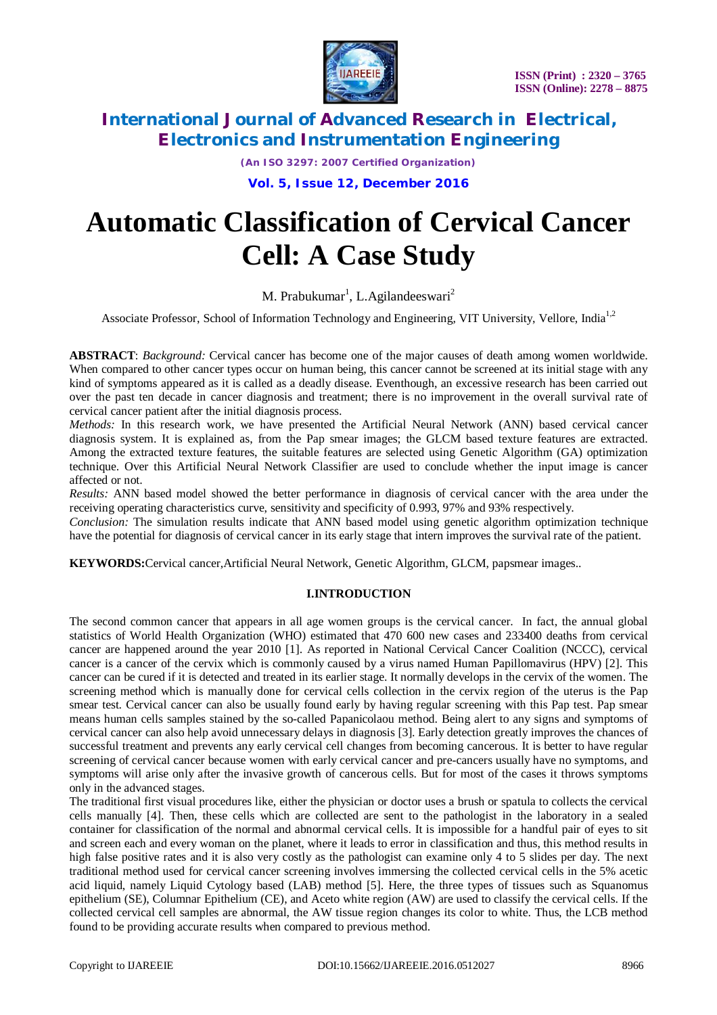

*(An ISO 3297: 2007 Certified Organization)*

**Vol. 5, Issue 12, December 2016**

# **Automatic Classification of Cervical Cancer Cell: A Case Study**

M. Prabukumar<sup>1</sup>, L.Agilandeeswari<sup>2</sup>

Associate Professor, School of Information Technology and Engineering, VIT University, Vellore, India<sup>1,2</sup>

**ABSTRACT**: *Background:* Cervical cancer has become one of the major causes of death among women worldwide. When compared to other cancer types occur on human being, this cancer cannot be screened at its initial stage with any kind of symptoms appeared as it is called as a deadly disease. Eventhough, an excessive research has been carried out over the past ten decade in cancer diagnosis and treatment; there is no improvement in the overall survival rate of cervical cancer patient after the initial diagnosis process.

*Methods:* In this research work, we have presented the Artificial Neural Network (ANN) based cervical cancer diagnosis system. It is explained as, from the Pap smear images; the GLCM based texture features are extracted. Among the extracted texture features, the suitable features are selected using Genetic Algorithm (GA) optimization technique. Over this Artificial Neural Network Classifier are used to conclude whether the input image is cancer affected or not.

*Results:* ANN based model showed the better performance in diagnosis of cervical cancer with the area under the receiving operating characteristics curve, sensitivity and specificity of 0.993, 97% and 93% respectively.

*Conclusion:* The simulation results indicate that ANN based model using genetic algorithm optimization technique have the potential for diagnosis of cervical cancer in its early stage that intern improves the survival rate of the patient.

**KEYWORDS:**Cervical cancer,Artificial Neural Network, Genetic Algorithm, GLCM, papsmear images..

### **I.INTRODUCTION**

The second common cancer that appears in all age women groups is the cervical cancer. In fact, the annual global statistics of World Health Organization (WHO) estimated that 470 600 new cases and 233400 deaths from cervical cancer are happened around the year 2010 [1]. As reported in National Cervical Cancer Coalition (NCCC), cervical cancer is a cancer of the cervix which is commonly caused by a virus named Human Papillomavirus (HPV) [2]. This cancer can be cured if it is detected and treated in its earlier stage. It normally develops in the cervix of the women. The screening method which is manually done for cervical cells collection in the cervix region of the uterus is the Pap smear test. Cervical cancer can also be usually found early by having regular screening with this Pap test. Pap smear means human cells samples stained by the so-called Papanicolaou method. Being alert to any signs and symptoms of cervical cancer can also help avoid unnecessary delays in diagnosis [3]. Early detection greatly improves the chances of successful treatment and prevents any early cervical cell changes from becoming cancerous. It is better to have regular screening of cervical cancer because women with early cervical cancer and pre-cancers usually have no symptoms, and symptoms will arise only after the invasive growth of cancerous cells. But for most of the cases it throws symptoms only in the advanced stages.

The traditional first visual procedures like, either the physician or doctor uses a brush or spatula to collects the cervical cells manually [4]. Then, these cells which are collected are sent to the pathologist in the laboratory in a sealed container for classification of the normal and abnormal cervical cells. It is impossible for a handful pair of eyes to sit and screen each and every woman on the planet, where it leads to error in classification and thus, this method results in high false positive rates and it is also very costly as the pathologist can examine only 4 to 5 slides per day. The next traditional method used for cervical cancer screening involves immersing the collected cervical cells in the 5% acetic acid liquid, namely Liquid Cytology based (LAB) method [5]. Here, the three types of tissues such as Squanomus epithelium (SE), Columnar Epithelium (CE), and Aceto white region (AW) are used to classify the cervical cells. If the collected cervical cell samples are abnormal, the AW tissue region changes its color to white. Thus, the LCB method found to be providing accurate results when compared to previous method.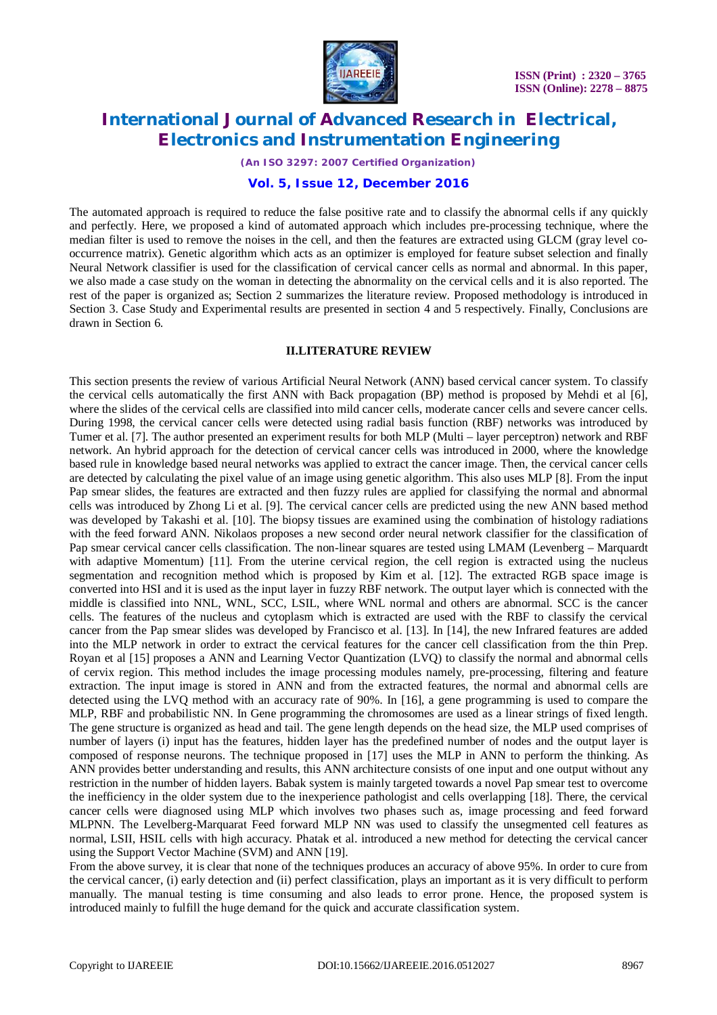

*(An ISO 3297: 2007 Certified Organization)*

# **Vol. 5, Issue 12, December 2016**

The automated approach is required to reduce the false positive rate and to classify the abnormal cells if any quickly and perfectly. Here, we proposed a kind of automated approach which includes pre-processing technique, where the median filter is used to remove the noises in the cell, and then the features are extracted using GLCM (gray level cooccurrence matrix). Genetic algorithm which acts as an optimizer is employed for feature subset selection and finally Neural Network classifier is used for the classification of cervical cancer cells as normal and abnormal. In this paper, we also made a case study on the woman in detecting the abnormality on the cervical cells and it is also reported. The rest of the paper is organized as; Section 2 summarizes the literature review. Proposed methodology is introduced in Section 3. Case Study and Experimental results are presented in section 4 and 5 respectively. Finally, Conclusions are drawn in Section 6.

### **II.LITERATURE REVIEW**

This section presents the review of various Artificial Neural Network (ANN) based cervical cancer system. To classify the cervical cells automatically the first ANN with Back propagation (BP) method is proposed by Mehdi et al [6], where the slides of the cervical cells are classified into mild cancer cells, moderate cancer cells and severe cancer cells. During 1998, the cervical cancer cells were detected using radial basis function (RBF) networks was introduced by Tumer et al. [7]. The author presented an experiment results for both MLP (Multi – layer perceptron) network and RBF network. An hybrid approach for the detection of cervical cancer cells was introduced in 2000, where the knowledge based rule in knowledge based neural networks was applied to extract the cancer image. Then, the cervical cancer cells are detected by calculating the pixel value of an image using genetic algorithm. This also uses MLP [8]. From the input Pap smear slides, the features are extracted and then fuzzy rules are applied for classifying the normal and abnormal cells was introduced by Zhong Li et al. [9]. The cervical cancer cells are predicted using the new ANN based method was developed by Takashi et al. [10]. The biopsy tissues are examined using the combination of histology radiations with the feed forward ANN. Nikolaos proposes a new second order neural network classifier for the classification of Pap smear cervical cancer cells classification. The non-linear squares are tested using LMAM (Levenberg – Marquardt with adaptive Momentum) [11]. From the uterine cervical region, the cell region is extracted using the nucleus segmentation and recognition method which is proposed by Kim et al. [12]. The extracted RGB space image is converted into HSI and it is used as the input layer in fuzzy RBF network. The output layer which is connected with the middle is classified into NNL, WNL, SCC, LSIL, where WNL normal and others are abnormal. SCC is the cancer cells. The features of the nucleus and cytoplasm which is extracted are used with the RBF to classify the cervical cancer from the Pap smear slides was developed by Francisco et al. [13]. In [14], the new Infrared features are added into the MLP network in order to extract the cervical features for the cancer cell classification from the thin Prep. Royan et al [15] proposes a ANN and Learning Vector Quantization (LVQ) to classify the normal and abnormal cells of cervix region. This method includes the image processing modules namely, pre-processing, filtering and feature extraction. The input image is stored in ANN and from the extracted features, the normal and abnormal cells are detected using the LVQ method with an accuracy rate of 90%. In [16], a gene programming is used to compare the MLP, RBF and probabilistic NN. In Gene programming the chromosomes are used as a linear strings of fixed length. The gene structure is organized as head and tail. The gene length depends on the head size, the MLP used comprises of number of layers (i) input has the features, hidden layer has the predefined number of nodes and the output layer is composed of response neurons. The technique proposed in [17] uses the MLP in ANN to perform the thinking. As ANN provides better understanding and results, this ANN architecture consists of one input and one output without any restriction in the number of hidden layers. Babak system is mainly targeted towards a novel Pap smear test to overcome the inefficiency in the older system due to the inexperience pathologist and cells overlapping [18]. There, the cervical cancer cells were diagnosed using MLP which involves two phases such as, image processing and feed forward MLPNN. The Levelberg-Marquarat Feed forward MLP NN was used to classify the unsegmented cell features as normal, LSII, HSIL cells with high accuracy. Phatak et al. introduced a new method for detecting the cervical cancer using the Support Vector Machine (SVM) and ANN [19].

From the above survey, it is clear that none of the techniques produces an accuracy of above 95%. In order to cure from the cervical cancer, (i) early detection and (ii) perfect classification, plays an important as it is very difficult to perform manually. The manual testing is time consuming and also leads to error prone. Hence, the proposed system is introduced mainly to fulfill the huge demand for the quick and accurate classification system.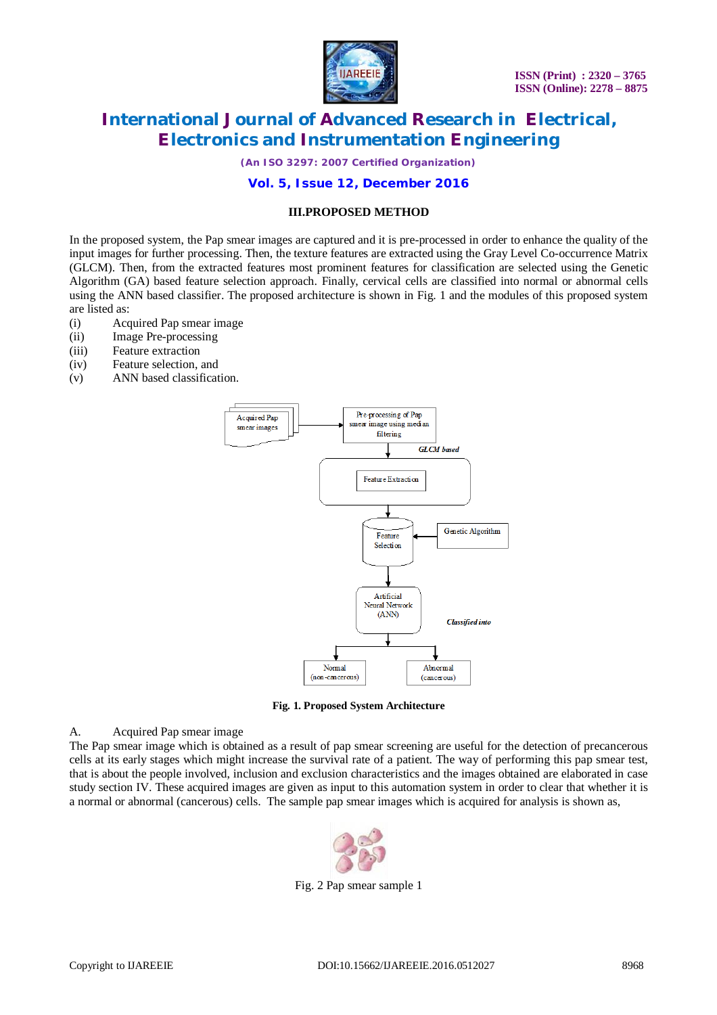

*(An ISO 3297: 2007 Certified Organization)*

### **Vol. 5, Issue 12, December 2016**

### **III.PROPOSED METHOD**

In the proposed system, the Pap smear images are captured and it is pre-processed in order to enhance the quality of the input images for further processing. Then, the texture features are extracted using the Gray Level Co-occurrence Matrix (GLCM). Then, from the extracted features most prominent features for classification are selected using the Genetic Algorithm (GA) based feature selection approach. Finally, cervical cells are classified into normal or abnormal cells using the ANN based classifier. The proposed architecture is shown in Fig. 1 and the modules of this proposed system are listed as:

- (i) Acquired Pap smear image
- (ii) Image Pre-processing
- (iii) Feature extraction
- (iv) Feature selection, and
- (v) ANN based classification.



**Fig. 1. Proposed System Architecture**

#### A. Acquired Pap smear image

The Pap smear image which is obtained as a result of pap smear screening are useful for the detection of precancerous cells at its early stages which might increase the survival rate of a patient. The way of performing this pap smear test, that is about the people involved, inclusion and exclusion characteristics and the images obtained are elaborated in case study section IV. These acquired images are given as input to this automation system in order to clear that whether it is a normal or abnormal (cancerous) cells. The sample pap smear images which is acquired for analysis is shown as,



Fig. 2 Pap smear sample 1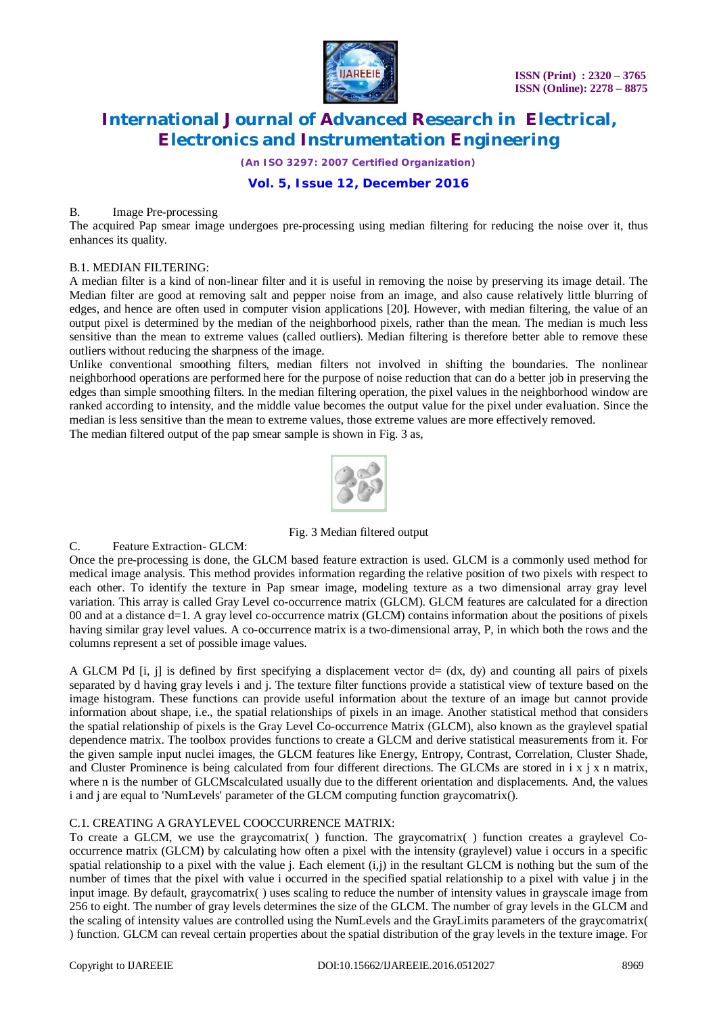

*(An ISO 3297: 2007 Certified Organization)*

# **Vol. 5, Issue 12, December 2016**

### B. Image Pre-processing

The acquired Pap smear image undergoes pre-processing using median filtering for reducing the noise over it, thus enhances its quality.

### B.1. MEDIAN FILTERING:

A median filter is a kind of non-linear filter and it is useful in removing the noise by preserving its image detail. The Median filter are good at removing salt and pepper noise from an image, and also cause relatively little blurring of edges, and hence are often used in computer vision applications [20]. However, with median filtering, the value of an output pixel is determined by the median of the neighborhood pixels, rather than the mean. The median is much less sensitive than the mean to extreme values (called outliers). Median filtering is therefore better able to remove these outliers without reducing the sharpness of the image.

Unlike conventional smoothing filters, median filters not involved in shifting the boundaries. The nonlinear neighborhood operations are performed here for the purpose of noise reduction that can do a better job in preserving the edges than simple smoothing filters. In the median filtering operation, the pixel values in the neighborhood window are ranked according to intensity, and the middle value becomes the output value for the pixel under evaluation. Since the median is less sensitive than the mean to extreme values, those extreme values are more effectively removed.

The median filtered output of the pap smear sample is shown in Fig. 3 as,



Fig. 3 Median filtered output

### C. Feature Extraction- GLCM:

Once the pre-processing is done, the GLCM based feature extraction is used. GLCM is a commonly used method for medical image analysis. This method provides information regarding the relative position of two pixels with respect to each other. To identify the texture in Pap smear image, modeling texture as a two dimensional array gray level variation. This array is called Gray Level co-occurrence matrix (GLCM). GLCM features are calculated for a direction 00 and at a distance d=1. A gray level co-occurrence matrix (GLCM) contains information about the positions of pixels having similar gray level values. A co-occurrence matrix is a two-dimensional array, P, in which both the rows and the columns represent a set of possible image values.

A GLCM Pd  $[i, j]$  is defined by first specifying a displacement vector  $d = (dx, dy)$  and counting all pairs of pixels separated by d having gray levels i and j. The texture filter functions provide a statistical view of texture based on the image histogram. These functions can provide useful information about the texture of an image but cannot provide information about shape, i.e., the spatial relationships of pixels in an image. Another statistical method that considers the spatial relationship of pixels is the Gray Level Co-occurrence Matrix (GLCM), also known as the graylevel spatial dependence matrix. The toolbox provides functions to create a GLCM and derive statistical measurements from it. For the given sample input nuclei images, the GLCM features like Energy, Entropy, Contrast, Correlation, Cluster Shade, and Cluster Prominence is being calculated from four different directions. The GLCMs are stored in  $i \times j \times n$  matrix, where n is the number of GLCMscalculated usually due to the different orientation and displacements. And, the values i and j are equal to 'NumLevels' parameter of the GLCM computing function graycomatrix().

# C.1. CREATING A GRAYLEVEL COOCCURRENCE MATRIX:

To create a GLCM, we use the graycomatrix( ) function. The graycomatrix( ) function creates a graylevel Cooccurrence matrix (GLCM) by calculating how often a pixel with the intensity (graylevel) value i occurs in a specific spatial relationship to a pixel with the value *j*. Each element  $(i,j)$  in the resultant GLCM is nothing but the sum of the number of times that the pixel with value i occurred in the specified spatial relationship to a pixel with value j in the input image. By default, graycomatrix( ) uses scaling to reduce the number of intensity values in grayscale image from 256 to eight. The number of gray levels determines the size of the GLCM. The number of gray levels in the GLCM and the scaling of intensity values are controlled using the NumLevels and the GrayLimits parameters of the graycomatrix( ) function. GLCM can reveal certain properties about the spatial distribution of the gray levels in the texture image. For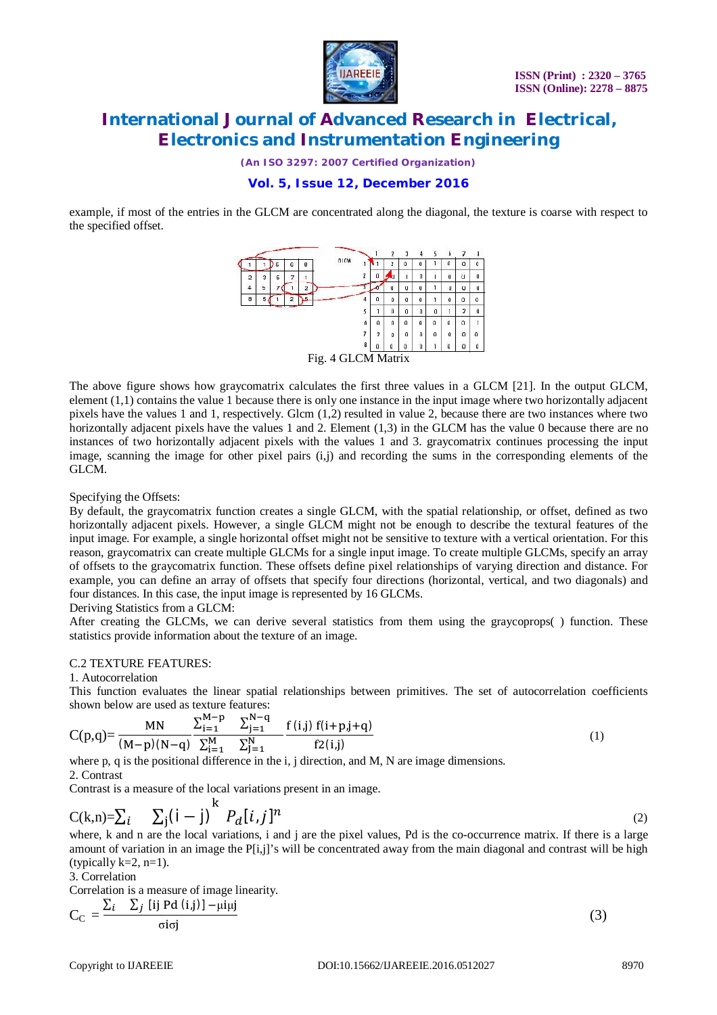

*(An ISO 3297: 2007 Certified Organization)*

# **Vol. 5, Issue 12, December 2016**

example, if most of the entries in the GLCM are concentrated along the diagonal, the texture is coarse with respect to the specified offset.



The above figure shows how graycomatrix calculates the first three values in a GLCM [21]. In the output GLCM, element (1,1) contains the value 1 because there is only one instance in the input image where two horizontally adjacent pixels have the values 1 and 1, respectively. Glcm (1,2) resulted in value 2, because there are two instances where two horizontally adjacent pixels have the values 1 and 2. Element (1,3) in the GLCM has the value 0 because there are no instances of two horizontally adjacent pixels with the values 1 and 3. graycomatrix continues processing the input image, scanning the image for other pixel pairs (i,j) and recording the sums in the corresponding elements of the GLCM.

Specifying the Offsets:

By default, the graycomatrix function creates a single GLCM, with the spatial relationship, or offset, defined as two horizontally adjacent pixels. However, a single GLCM might not be enough to describe the textural features of the input image. For example, a single horizontal offset might not be sensitive to texture with a vertical orientation. For this reason, graycomatrix can create multiple GLCMs for a single input image. To create multiple GLCMs, specify an array of offsets to the graycomatrix function. These offsets define pixel relationships of varying direction and distance. For example, you can define an array of offsets that specify four directions (horizontal, vertical, and two diagonals) and four distances. In this case, the input image is represented by 16 GLCMs.

### Deriving Statistics from a GLCM:

After creating the GLCMs, we can derive several statistics from them using the graycoprops( ) function. These statistics provide information about the texture of an image.

### C.2 TEXTURE FEATURES:

#### 1. Autocorrelation

This function evaluates the linear spatial relationships between primitives. The set of autocorrelation coefficients shown below are used as texture features:

$$
C(p,q) = \frac{MN}{(M-p)(N-q)} \frac{\sum_{i=1}^{M-p} \sum_{j=1}^{N-q} f(i,j) f(i+p,j+q)}{\sum_{i=1}^{M} \sum_{j=1}^{N} f(i,j)} \qquad (1)
$$

where p, q is the positional difference in the i, j direction, and M, N are image dimensions.

### 2. Contrast

Contrast is a measure of the local variations present in an image.

$$
C(k,n) = \sum_{i} \sum_{j} (i-j)^{k} P_{d}[i,j]^{n}
$$

where, k and n are the local variations, i and j are the pixel values, Pd is the co-occurrence matrix. If there is a large amount of variation in an image the P[i,j]'s will be concentrated away from the main diagonal and contrast will be high (typically  $k=2$ ,  $n=1$ ).

3. Correlation

Correlation is a measure of image linearity.

$$
C_{\rm C} = \frac{\sum_{i} \sum_{j} [ij \text{ Pd } (i,j)] - \mu i \mu j}{\sigma i \sigma j}
$$
 (3)

(2)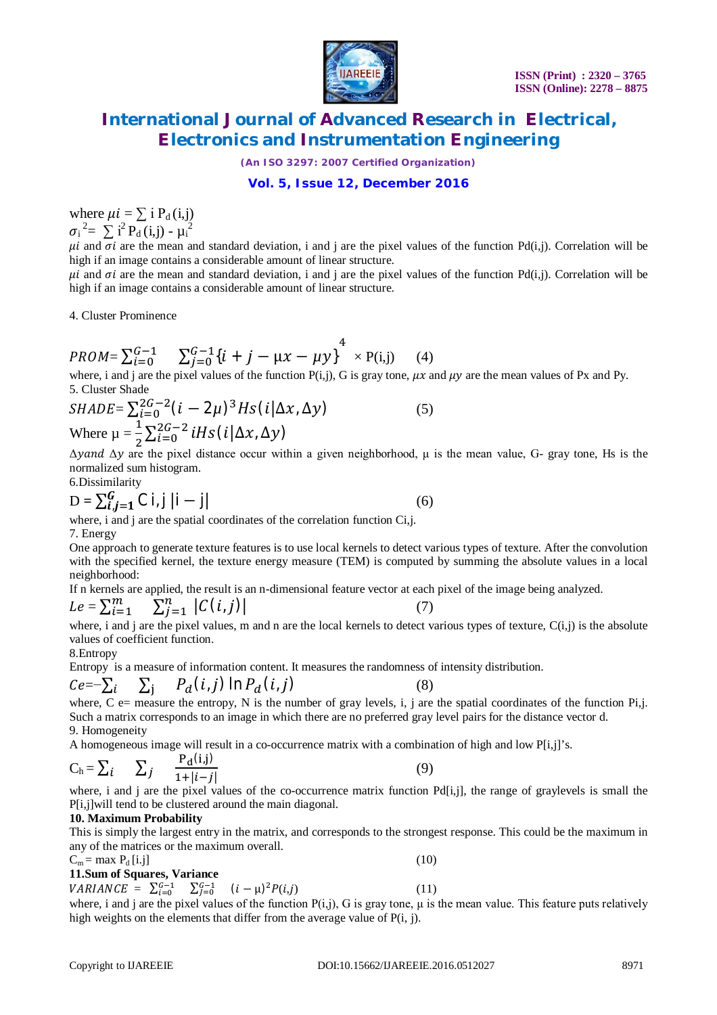

*(An ISO 3297: 2007 Certified Organization)*

# **Vol. 5, Issue 12, December 2016**

where  $\mu i = \sum i P_d(i,j)$  $\sigma_i^2 = \sum_i^2 P_d(i,j) - \mu_i^2$ 

 $\mu i$  and  $\sigma i$  are the mean and standard deviation, i and j are the pixel values of the function Pd(i,j). Correlation will be high if an image contains a considerable amount of linear structure.

 $\mu i$  and  $\sigma i$  are the mean and standard deviation, i and j are the pixel values of the function Pd(i,j). Correlation will be high if an image contains a considerable amount of linear structure.

4. Cluster Prominence

$$
PROM = \sum_{i=0}^{G-1} \sum_{j=0}^{G-1} \{i + j - \mu x - \mu y\}^{4} \times P(i,j) \quad (4)
$$

where, i and j are the pixel values of the function  $P(i,j)$ , G is gray tone,  $\mu x$  and  $\mu y$  are the mean values of Px and Py. 5. Cluster Shade

$$
SHADE = \sum_{i=0}^{2G-2} (i - 2\mu)^3 Hs (i|\Delta x, \Delta y)
$$
  
Where  $\mu = \frac{1}{2} \sum_{i=0}^{2G-2} iHs (i|\Delta x, \Delta y)$  (5)

 $\Delta$ y and  $\Delta$ y are the pixel distance occur within a given neighborhood,  $\mu$  is the mean value, G- gray tone, Hs is the normalized sum histogram.

6.Dissimilarity

$$
D = \sum_{i,j=1}^{G} C |i,j| |i-j|
$$
 (6)

where, i and j are the spatial coordinates of the correlation function Ci,j.

7. Energy

One approach to generate texture features is to use local kernels to detect various types of texture. After the convolution with the specified kernel, the texture energy measure (TEM) is computed by summing the absolute values in a local neighborhood:

If n kernels are applied, the result is an n-dimensional feature vector at each pixel of the image being analyzed.  $Le = \sum_{i=1}^{m}$  $\sum_{i=1}^n |C(i,j)|$  $i=1$  $j=1$ (7)

where, i and j are the pixel values, m and n are the local kernels to detect various types of texture,  $C(i,j)$  is the absolute values of coefficient function.

### 8.Entropy

Entropy is a measure of information content. It measures the randomness of intensity distribution.

$$
Ce = -\sum_{i} \sum_{j} P_d(i,j) \ln P_d(i,j) \tag{8}
$$

where,  $C$  e= measure the entropy, N is the number of gray levels, i, j are the spatial coordinates of the function Pi,j. Such a matrix corresponds to an image in which there are no preferred gray level pairs for the distance vector d. 9. Homogeneity

A homogeneous image will result in a co-occurrence matrix with a combination of high and low P[i,j]'s.

$$
C_h = \sum_i \qquad \sum_j \qquad \frac{P_d(i,j)}{1+|i-j|} \tag{9}
$$

where, i and j are the pixel values of the co-occurrence matrix function  $Pd[i,j]$ , the range of graylevels is small the P[i,j]will tend to be clustered around the main diagonal.

# **10. Maximum Probability**

This is simply the largest entry in the matrix, and corresponds to the strongest response. This could be the maximum in any of the matrices or the maximum overall.

# $C_m = \max P_d[i,j]$  (10)

### **11.Sum of Squares, Variance**

 $VARIANCE = \sum_{i=0}^{G-1} \sum_{j=0}^{G-1} (i - \mu)^2 P(i,j)$  (11)

where, i and j are the pixel values of the function  $P(i,j)$ , G is gray tone,  $\mu$  is the mean value. This feature puts relatively high weights on the elements that differ from the average value of P(i, j).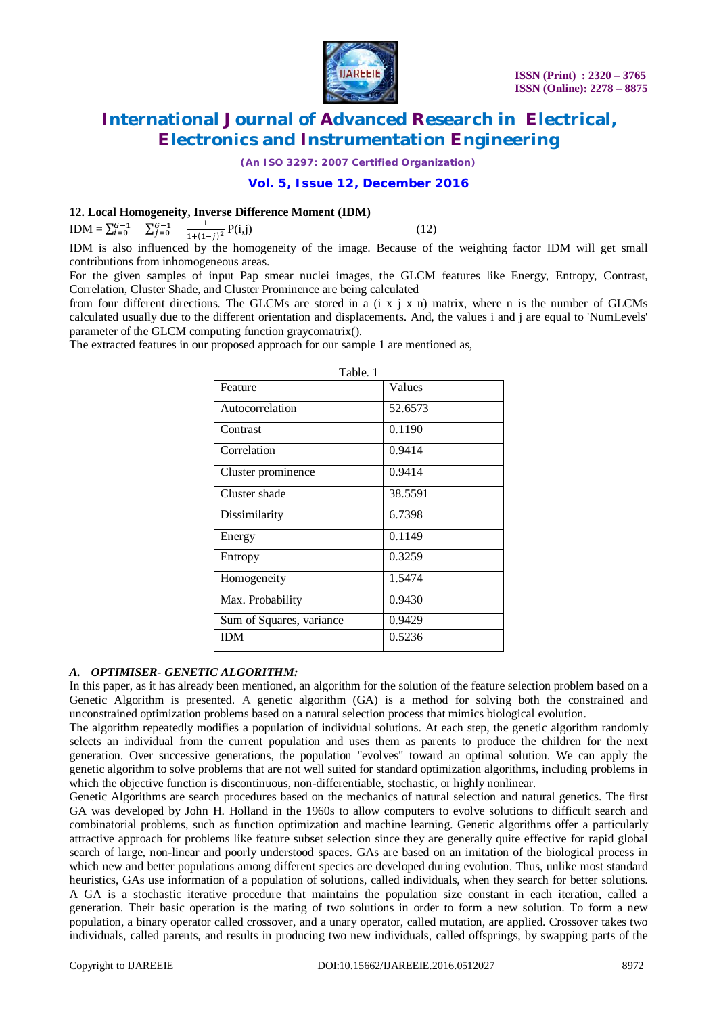

*(An ISO 3297: 2007 Certified Organization)*

### **Vol. 5, Issue 12, December 2016**

### **12. Local Homogeneity, Inverse Difference Moment (IDM)**

IDM =  $\sum_{i=0}^{G-1}$   $\sum_{j=0}^{G-1}$  $\mathbf 1$  $\frac{1}{1+(1-j)^2}P(i,j)$  (12)

IDM is also influenced by the homogeneity of the image. Because of the weighting factor IDM will get small contributions from inhomogeneous areas.

For the given samples of input Pap smear nuclei images, the GLCM features like Energy, Entropy, Contrast, Correlation, Cluster Shade, and Cluster Prominence are being calculated

from four different directions. The GLCMs are stored in a  $(i \times j \times n)$  matrix, where n is the number of GLCMs calculated usually due to the different orientation and displacements. And, the values i and j are equal to 'NumLevels' parameter of the GLCM computing function graycomatrix().

The extracted features in our proposed approach for our sample 1 are mentioned as,

| Table. 1                 |         |  |  |  |
|--------------------------|---------|--|--|--|
| Feature                  | Values  |  |  |  |
| Autocorrelation          | 52.6573 |  |  |  |
| Contrast                 | 0.1190  |  |  |  |
| Correlation              | 0.9414  |  |  |  |
| Cluster prominence       | 0.9414  |  |  |  |
| Cluster shade            | 38.5591 |  |  |  |
| Dissimilarity            | 6.7398  |  |  |  |
| Energy                   | 0.1149  |  |  |  |
| Entropy                  | 0.3259  |  |  |  |
| Homogeneity              | 1.5474  |  |  |  |
| Max. Probability         | 0.9430  |  |  |  |
| Sum of Squares, variance | 0.9429  |  |  |  |
| <b>IDM</b>               | 0.5236  |  |  |  |

# *A. OPTIMISER- GENETIC ALGORITHM:*

In this paper, as it has already been mentioned, an algorithm for the solution of the feature selection problem based on a Genetic Algorithm is presented. A genetic algorithm (GA) is a method for solving both the constrained and unconstrained optimization problems based on a natural selection process that mimics biological evolution.

The algorithm repeatedly modifies a population of individual solutions. At each step, the genetic algorithm randomly selects an individual from the current population and uses them as parents to produce the children for the next generation. Over successive generations, the population "evolves" toward an optimal solution. We can apply the genetic algorithm to solve problems that are not well suited for standard optimization algorithms, including problems in which the objective function is discontinuous, non-differentiable, stochastic, or highly nonlinear.

Genetic Algorithms are search procedures based on the mechanics of natural selection and natural genetics. The first GA was developed by John H. Holland in the 1960s to allow computers to evolve solutions to difficult search and combinatorial problems, such as function optimization and machine learning. Genetic algorithms offer a particularly attractive approach for problems like feature subset selection since they are generally quite effective for rapid global search of large, non-linear and poorly understood spaces. GAs are based on an imitation of the biological process in which new and better populations among different species are developed during evolution. Thus, unlike most standard heuristics, GAs use information of a population of solutions, called individuals, when they search for better solutions. A GA is a stochastic iterative procedure that maintains the population size constant in each iteration, called a generation. Their basic operation is the mating of two solutions in order to form a new solution. To form a new population, a binary operator called crossover, and a unary operator, called mutation, are applied. Crossover takes two individuals, called parents, and results in producing two new individuals, called offsprings, by swapping parts of the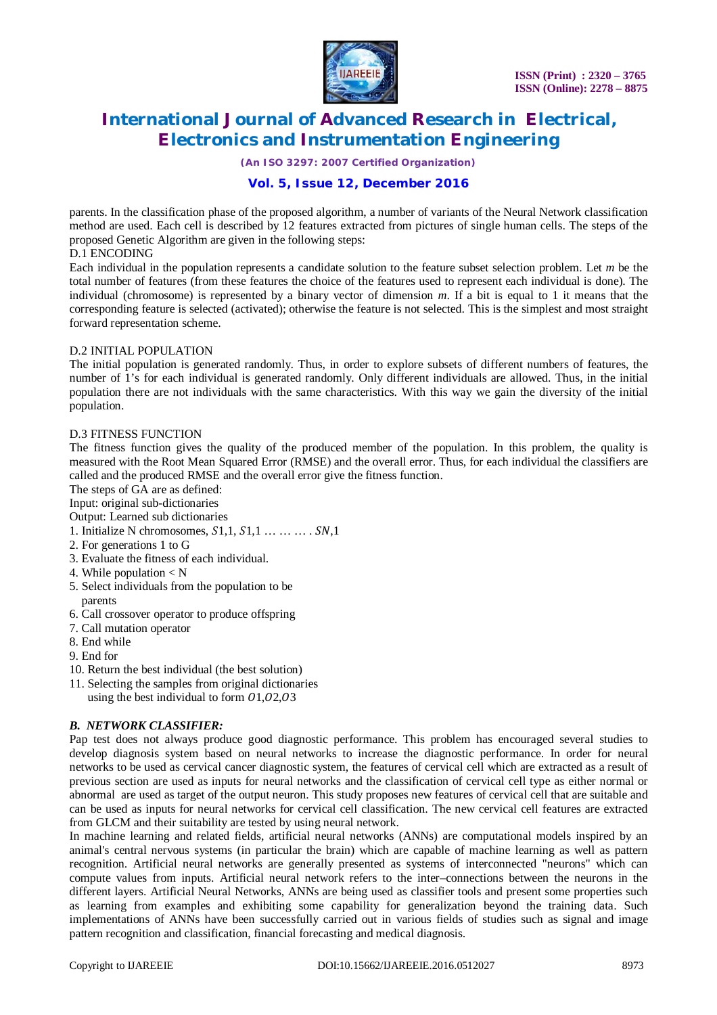

*(An ISO 3297: 2007 Certified Organization)*

# **Vol. 5, Issue 12, December 2016**

parents. In the classification phase of the proposed algorithm, a number of variants of the Neural Network classification method are used. Each cell is described by 12 features extracted from pictures of single human cells. The steps of the proposed Genetic Algorithm are given in the following steps:

### D.1 ENCODING

Each individual in the population represents a candidate solution to the feature subset selection problem. Let *m* be the total number of features (from these features the choice of the features used to represent each individual is done). The individual (chromosome) is represented by a binary vector of dimension *m*. If a bit is equal to 1 it means that the corresponding feature is selected (activated); otherwise the feature is not selected. This is the simplest and most straight forward representation scheme.

### D.2 INITIAL POPULATION

The initial population is generated randomly. Thus, in order to explore subsets of different numbers of features, the number of 1's for each individual is generated randomly. Only different individuals are allowed. Thus, in the initial population there are not individuals with the same characteristics. With this way we gain the diversity of the initial population.

### D.3 FITNESS FUNCTION

The fitness function gives the quality of the produced member of the population. In this problem, the quality is measured with the Root Mean Squared Error (RMSE) and the overall error. Thus, for each individual the classifiers are called and the produced RMSE and the overall error give the fitness function.

The steps of GA are as defined:

Input: original sub-dictionaries

Output: Learned sub dictionaries

- 1. Initialize N chromosomes,  $S1,1, S1,1 \ldots \ldots \ldots \ldots \ldots \ldots$
- 2. For generations 1 to G
- 3. Evaluate the fitness of each individual.
- 4. While population < N
- 5. Select individuals from the population to be parents
- 6. Call crossover operator to produce offspring
- 7. Call mutation operator
- 8. End while
- 9. End for
- 10. Return the best individual (the best solution)
- 11. Selecting the samples from original dictionaries
- using the best individual to form  $01,02,03$

### *B. NETWORK CLASSIFIER:*

Pap test does not always produce good diagnostic performance. This problem has encouraged several studies to develop diagnosis system based on neural networks to increase the diagnostic performance. In order for neural networks to be used as cervical cancer diagnostic system, the features of cervical cell which are extracted as a result of previous section are used as inputs for neural networks and the classification of cervical cell type as either normal or abnormal are used as target of the output neuron. This study proposes new features of cervical cell that are suitable and can be used as inputs for neural networks for cervical cell classification. The new cervical cell features are extracted from GLCM and their suitability are tested by using neural network.

In machine learning and related fields, artificial neural networks (ANNs) are computational models inspired by an animal's central nervous systems (in particular the brain) which are capable of machine learning as well as pattern recognition. Artificial neural networks are generally presented as systems of interconnected "neurons" which can compute values from inputs. Artificial neural network refers to the inter–connections between the neurons in the different layers. Artificial Neural Networks, ANNs are being used as classifier tools and present some properties such as learning from examples and exhibiting some capability for generalization beyond the training data. Such implementations of ANNs have been successfully carried out in various fields of studies such as signal and image pattern recognition and classification, financial forecasting and medical diagnosis.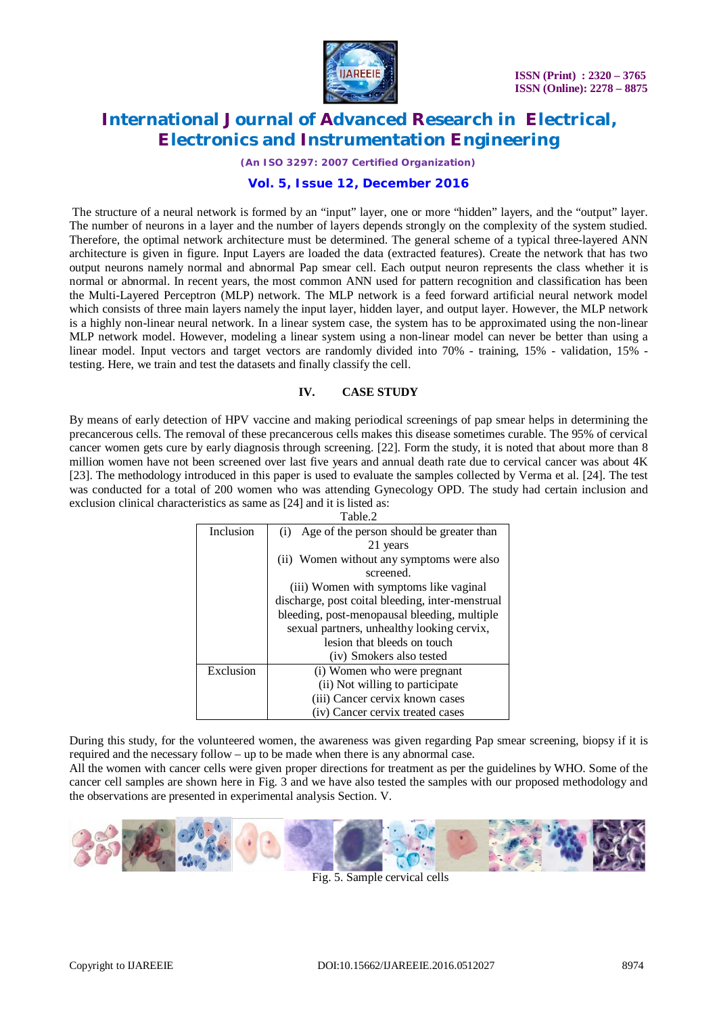

*(An ISO 3297: 2007 Certified Organization)*

# **Vol. 5, Issue 12, December 2016**

The structure of a neural network is formed by an "input" layer, one or more "hidden" layers, and the "output" layer. The number of neurons in a layer and the number of layers depends strongly on the complexity of the system studied. Therefore, the optimal network architecture must be determined. The general scheme of a typical three-layered ANN architecture is given in figure. Input Layers are loaded the data (extracted features). Create the network that has two output neurons namely normal and abnormal Pap smear cell. Each output neuron represents the class whether it is normal or abnormal. In recent years, the most common ANN used for pattern recognition and classification has been the Multi-Layered Perceptron (MLP) network. The MLP network is a feed forward artificial neural network model which consists of three main layers namely the input layer, hidden layer, and output layer. However, the MLP network is a highly non-linear neural network. In a linear system case, the system has to be approximated using the non-linear MLP network model. However, modeling a linear system using a non-linear model can never be better than using a linear model. Input vectors and target vectors are randomly divided into 70% - training, 15% - validation, 15% testing. Here, we train and test the datasets and finally classify the cell.

### **IV. CASE STUDY**

By means of early detection of HPV vaccine and making periodical screenings of pap smear helps in determining the precancerous cells. The removal of these precancerous cells makes this disease sometimes curable. The 95% of cervical cancer women gets cure by early diagnosis through screening. [22]. Form the study, it is noted that about more than 8 million women have not been screened over last five years and annual death rate due to cervical cancer was about 4K [23]. The methodology introduced in this paper is used to evaluate the samples collected by Verma et al. [24]. The test was conducted for a total of 200 women who was attending Gynecology OPD. The study had certain inclusion and exclusion clinical characteristics as same as [24] and it is listed as:

| Table.2   |                                                  |  |  |  |
|-----------|--------------------------------------------------|--|--|--|
| Inclusion | Age of the person should be greater than<br>(i)  |  |  |  |
|           | 21 years                                         |  |  |  |
|           | (ii) Women without any symptoms were also        |  |  |  |
|           | screened.                                        |  |  |  |
|           | (iii) Women with symptoms like vaginal           |  |  |  |
|           | discharge, post coital bleeding, inter-menstrual |  |  |  |
|           | bleeding, post-menopausal bleeding, multiple     |  |  |  |
|           | sexual partners, unhealthy looking cervix,       |  |  |  |
|           | lesion that bleeds on touch                      |  |  |  |
|           | (iv) Smokers also tested                         |  |  |  |
| Exclusion | (i) Women who were pregnant                      |  |  |  |
|           | (ii) Not willing to participate                  |  |  |  |
|           | (iii) Cancer cervix known cases                  |  |  |  |
|           | (iv) Cancer cervix treated cases                 |  |  |  |

During this study, for the volunteered women, the awareness was given regarding Pap smear screening, biopsy if it is required and the necessary follow – up to be made when there is any abnormal case.

All the women with cancer cells were given proper directions for treatment as per the guidelines by WHO. Some of the cancer cell samples are shown here in Fig. 3 and we have also tested the samples with our proposed methodology and the observations are presented in experimental analysis Section. V.



Fig. 5. Sample cervical cells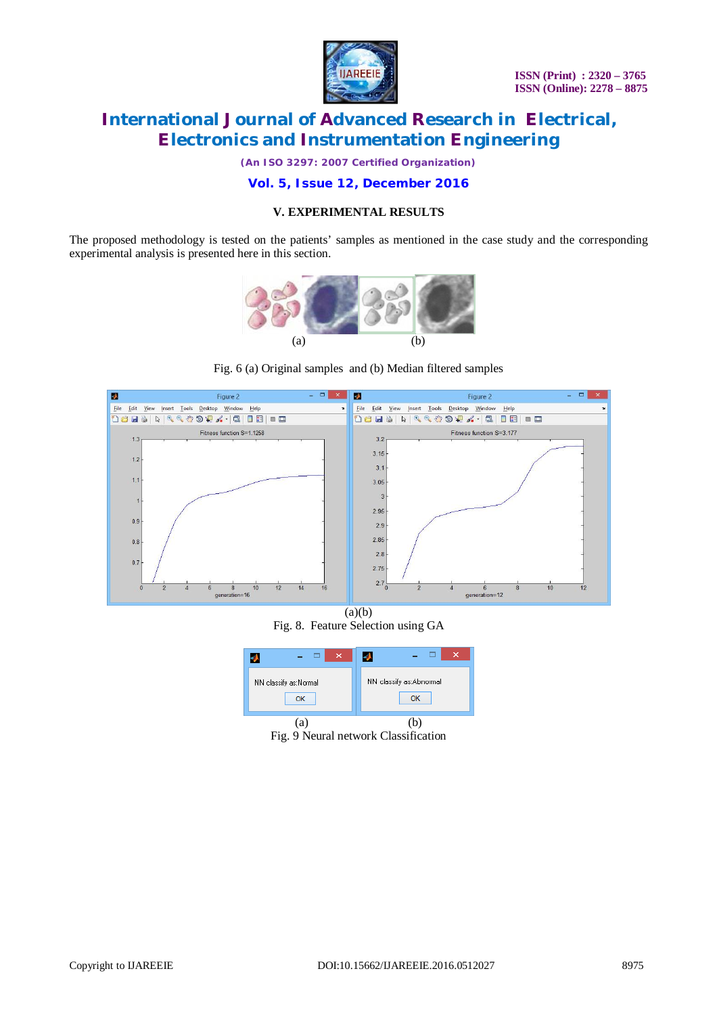

*(An ISO 3297: 2007 Certified Organization)*

# **Vol. 5, Issue 12, December 2016**

### **V. EXPERIMENTAL RESULTS**

The proposed methodology is tested on the patients' samples as mentioned in the case study and the corresponding experimental analysis is presented here in this section.



Fig. 6 (a) Original samples and (b) Median filtered samples



 $(a)(b)$ Fig. 8. Feature Selection using GA



Fig. 9 Neural network Classification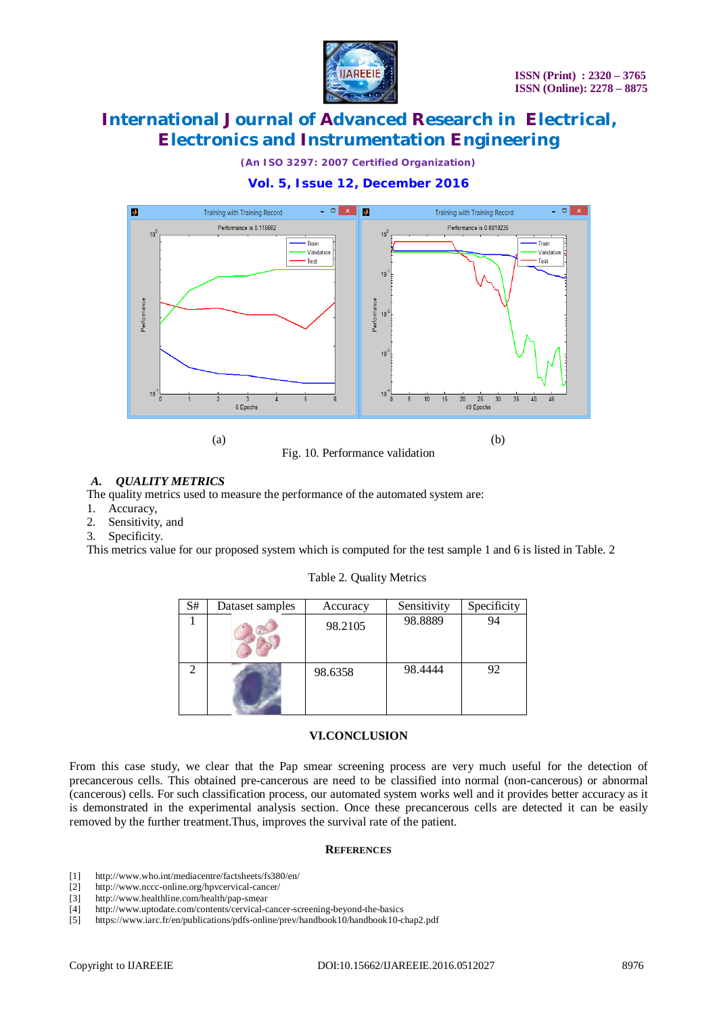

*(An ISO 3297: 2007 Certified Organization)*

# **Vol. 5, Issue 12, December 2016**



### *A. QUALITY METRICS*

The quality metrics used to measure the performance of the automated system are:

- 1. Accuracy,
- 2. Sensitivity, and
- 3. Specificity.

This metrics value for our proposed system which is computed for the test sample 1 and 6 is listed in Table. 2

| S# | Dataset samples | Accuracy | Sensitivity | Specificity |
|----|-----------------|----------|-------------|-------------|
|    |                 | 98.2105  | 98.8889     | 94          |
|    |                 | 98.6358  | 98.4444     | 92          |

### Table 2. Quality Metrics

#### **VI.CONCLUSION**

From this case study, we clear that the Pap smear screening process are very much useful for the detection of precancerous cells. This obtained pre-cancerous are need to be classified into normal (non-cancerous) or abnormal (cancerous) cells. For such classification process, our automated system works well and it provides better accuracy as it is demonstrated in the experimental analysis section. Once these precancerous cells are detected it can be easily removed by the further treatment.Thus, improves the survival rate of the patient.

#### **REFERENCES**

- [1] <http://www.who.int/mediacentre/factsheets/fs380/en/>
- [2] <http://www.nccc-online.org/hpvcervical-cancer/>
- [3] <http://www.healthline.com/health/pap-smear>
- [4] <http://www.uptodate.com/contents/cervical-cancer-screening-beyond-the-basics>
- [5] <https://www.iarc.fr/en/publications/pdfs-online/prev/handbook10/handbook10-chap2.pdf>